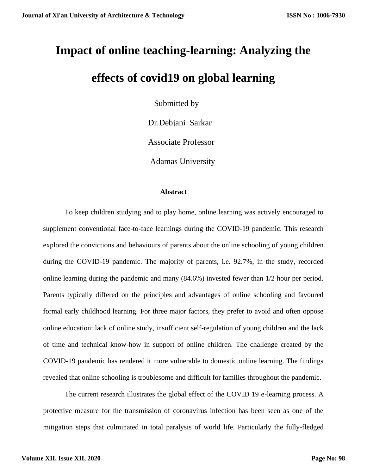# **Impact of online teaching-learning: Analyzing the effects of covid19 on global learning**

Submitted by

Dr.Debjani Sarkar

Associate Professor

Adamas University

## **Abstract**

To keep children studying and to play home, online learning was actively encouraged to supplement conventional face-to-face learnings during the COVID-19 pandemic. This research explored the convictions and behaviours of parents about the online schooling of young children during the COVID-19 pandemic. The majority of parents, i.e. 92.7%, in the study, recorded online learning during the pandemic and many (84.6%) invested fewer than 1/2 hour per period. Parents typically differed on the principles and advantages of online schooling and favoured formal early childhood learning. For three major factors, they prefer to avoid and often oppose online education: lack of online study, insufficient self-regulation of young children and the lack of time and technical know-how in support of online children. The challenge created by the COVID-19 pandemic has rendered it more vulnerable to domestic online learning. The findings revealed that online schooling is troublesome and difficult for families throughout the pandemic.

The current research illustrates the global effect of the COVID 19 e-learning process. A protective measure for the transmission of coronavirus infection has been seen as one of the mitigation steps that culminated in total paralysis of world life. Particularly the fully-fledged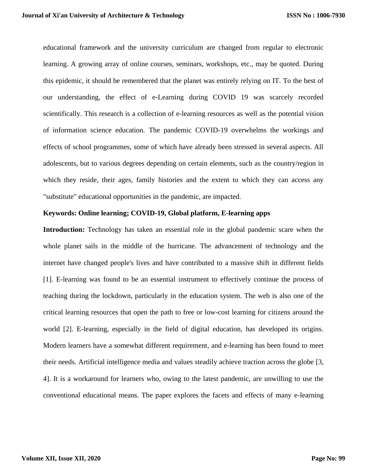educational framework and the university curriculum are changed from regular to electronic learning. A growing array of online courses, seminars, workshops, etc., may be quoted. During this epidemic, it should be remembered that the planet was entirely relying on IT. To the best of our understanding, the effect of e-Learning during COVID 19 was scarcely recorded scientifically. This research is a collection of e-learning resources as well as the potential vision of information science education. The pandemic COVID-19 overwhelms the workings and effects of school programmes, some of which have already been stressed in several aspects. All adolescents, but to various degrees depending on certain elements, such as the country/region in which they reside, their ages, family histories and the extent to which they can access any "substitute" educational opportunities in the pandemic, are impacted.

#### **Keywords: Online learning; COVID-19, Global platform, E-learning apps**

**Introduction:** Technology has taken an essential role in the global pandemic scare when the whole planet sails in the middle of the hurricane. The advancement of technology and the internet have changed people's lives and have contributed to a massive shift in different fields [1]. E-learning was found to be an essential instrument to effectively continue the process of teaching during the lockdown, particularly in the education system. The web is also one of the critical learning resources that open the path to free or low-cost learning for citizens around the world [2]. E-learning, especially in the field of digital education, has developed its origins. Modern learners have a somewhat different requirement, and e-learning has been found to meet their needs. Artificial intelligence media and values steadily achieve traction across the globe [3, 4]. It is a workaround for learners who, owing to the latest pandemic, are unwilling to use the conventional educational means. The paper explores the facets and effects of many e-learning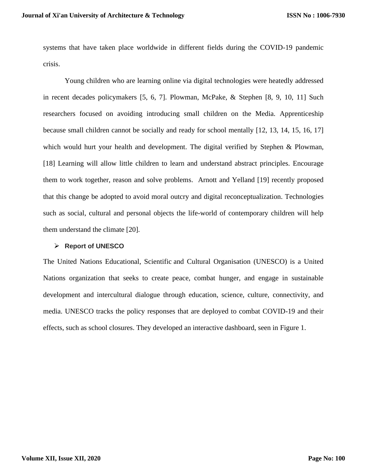systems that have taken place worldwide in different fields during the COVID-19 pandemic crisis.

Young children who are learning online via digital technologies were heatedly addressed in recent decades policymakers [5, 6, 7]. Plowman, McPake, & Stephen [8, 9, 10, 11] Such researchers focused on avoiding introducing small children on the Media. Apprenticeship because small children cannot be socially and ready for school mentally [12, 13, 14, 15, 16, 17] which would hurt your health and development. The digital verified by Stephen & Plowman, [18] Learning will allow little children to learn and understand abstract principles. Encourage them to work together, reason and solve problems. Arnott and Yelland [19] recently proposed that this change be adopted to avoid moral outcry and digital reconceptualization. Technologies such as social, cultural and personal objects the life-world of contemporary children will help them understand the climate [20].

#### ➢ **Report of UNESCO**

The United Nations Educational, Scientific and Cultural Organisation (UNESCO) is a United Nations organization that seeks to create peace, combat hunger, and engage in sustainable development and intercultural dialogue through education, science, culture, connectivity, and media. UNESCO tracks the policy responses that are deployed to combat COVID-19 and their effects, such as school closures. They developed an interactive dashboard, seen in Figure 1.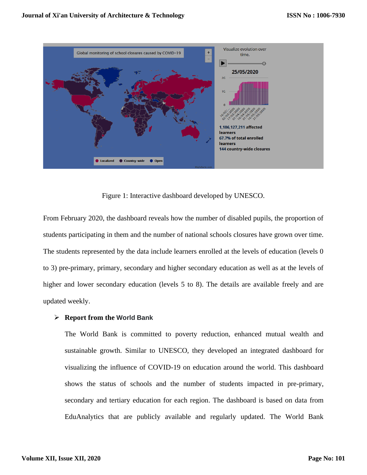

Figure 1: Interactive dashboard developed by UNESCO.

From February 2020, the dashboard reveals how the number of disabled pupils, the proportion of students participating in them and the number of national schools closures have grown over time. The students represented by the data include learners enrolled at the levels of education (levels 0 to 3) pre-primary, primary, secondary and higher secondary education as well as at the levels of higher and lower secondary education (levels 5 to 8). The details are available freely and are updated weekly.

#### ➢ **Report from the World Bank**

The World Bank is committed to poverty reduction, enhanced mutual wealth and sustainable growth. Similar to UNESCO, they developed an integrated dashboard for visualizing the influence of COVID-19 on education around the world. This dashboard shows the status of schools and the number of students impacted in pre-primary, secondary and tertiary education for each region. The dashboard is based on data from EduAnalytics that are publicly available and regularly updated. The World Bank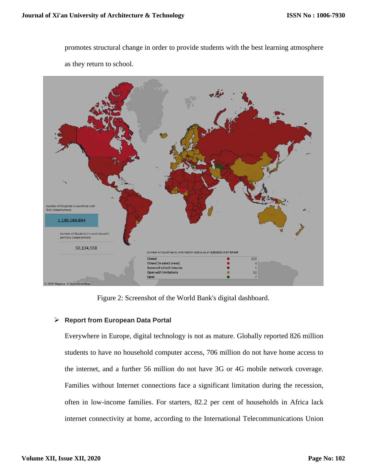promotes structural change in order to provide students with the best learning atmosphere as they return to school.



Figure 2: Screenshot of the World Bank's digital dashboard.

### ➢ **Report from European Data Portal**

Everywhere in Europe, digital technology is not as mature. Globally reported 826 million students to have no household computer access, 706 million do not have home access to the internet, and a further 56 million do not have 3G or 4G mobile network coverage. Families without Internet connections face a significant limitation during the recession, often in low-income families. For starters, 82.2 per cent of households in Africa lack internet connectivity at home, according to the International Telecommunications Union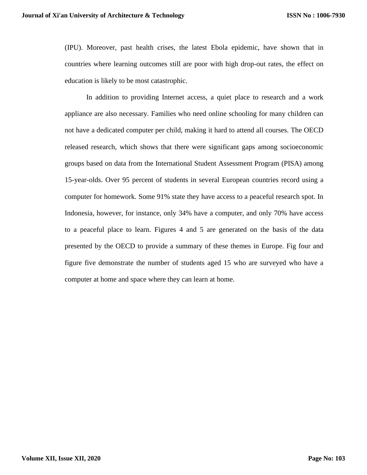(IPU). Moreover, past health crises, the latest Ebola epidemic, have shown that in countries where learning outcomes still are poor with high drop-out rates, the effect on education is likely to be most catastrophic.

In addition to providing Internet access, a quiet place to research and a work appliance are also necessary. Families who need online schooling for many children can not have a dedicated computer per child, making it hard to attend all courses. The OECD released research, which shows that there were significant gaps among socioeconomic groups based on data from the International Student Assessment Program (PISA) among 15-year-olds. Over 95 percent of students in several European countries record using a computer for homework. Some 91% state they have access to a peaceful research spot. In Indonesia, however, for instance, only 34% have a computer, and only 70% have access to a peaceful place to learn. Figures 4 and 5 are generated on the basis of the data presented by the OECD to provide a summary of these themes in Europe. Fig four and figure five demonstrate the number of students aged 15 who are surveyed who have a computer at home and space where they can learn at home.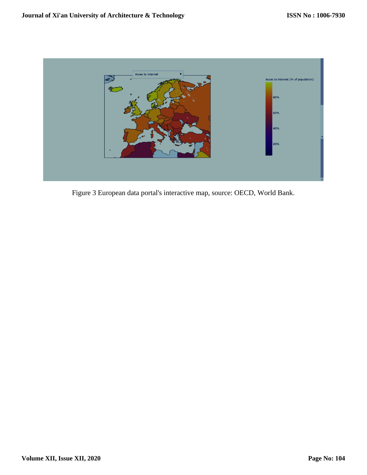

Figure 3 European data portal's interactive map, source: OECD, World Bank.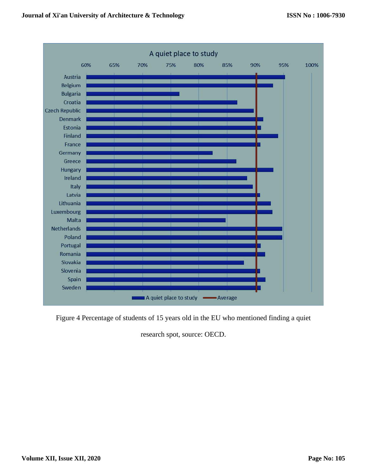

Figure 4 Percentage of students of 15 years old in the EU who mentioned finding a quiet

research spot, source: OECD.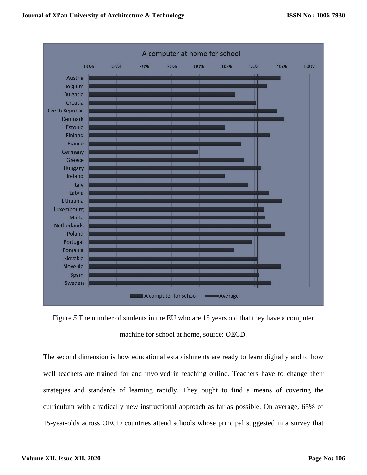

Figure *5* The number of students in the EU who are 15 years old that they have a computer machine for school at home, source: OECD.

The second dimension is how educational establishments are ready to learn digitally and to how well teachers are trained for and involved in teaching online. Teachers have to change their strategies and standards of learning rapidly. They ought to find a means of covering the curriculum with a radically new instructional approach as far as possible. On average, 65% of 15-year-olds across OECD countries attend schools whose principal suggested in a survey that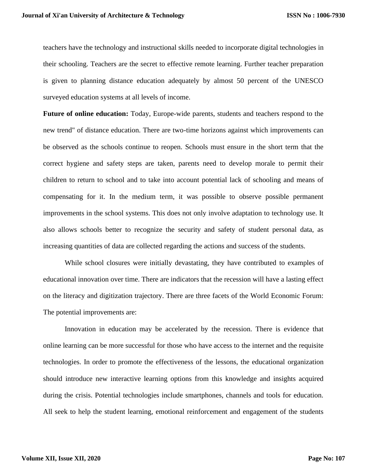teachers have the technology and instructional skills needed to incorporate digital technologies in their schooling. Teachers are the secret to effective remote learning. Further teacher preparation is given to planning distance education adequately by almost 50 percent of the UNESCO surveyed education systems at all levels of income.

**Future of online education:** Today, Europe-wide parents, students and teachers respond to the new trend" of distance education. There are two-time horizons against which improvements can be observed as the schools continue to reopen. Schools must ensure in the short term that the correct hygiene and safety steps are taken, parents need to develop morale to permit their children to return to school and to take into account potential lack of schooling and means of compensating for it. In the medium term, it was possible to observe possible permanent improvements in the school systems. This does not only involve adaptation to technology use. It also allows schools better to recognize the security and safety of student personal data, as increasing quantities of data are collected regarding the actions and success of the students.

While school closures were initially devastating, they have contributed to examples of educational innovation over time. There are indicators that the recession will have a lasting effect on the literacy and digitization trajectory. There are three facets of the World Economic Forum: The potential improvements are:

Innovation in education may be accelerated by the recession. There is evidence that online learning can be more successful for those who have access to the internet and the requisite technologies. In order to promote the effectiveness of the lessons, the educational organization should introduce new interactive learning options from this knowledge and insights acquired during the crisis. Potential technologies include smartphones, channels and tools for education. All seek to help the student learning, emotional reinforcement and engagement of the students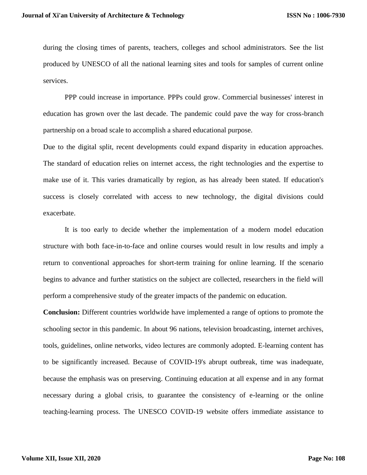during the closing times of parents, teachers, colleges and school administrators. See the list produced by UNESCO of all the national learning sites and tools for samples of current online services.

PPP could increase in importance. PPPs could grow. Commercial businesses' interest in education has grown over the last decade. The pandemic could pave the way for cross-branch partnership on a broad scale to accomplish a shared educational purpose.

Due to the digital split, recent developments could expand disparity in education approaches. The standard of education relies on internet access, the right technologies and the expertise to make use of it. This varies dramatically by region, as has already been stated. If education's success is closely correlated with access to new technology, the digital divisions could exacerbate.

It is too early to decide whether the implementation of a modern model education structure with both face-in-to-face and online courses would result in low results and imply a return to conventional approaches for short-term training for online learning. If the scenario begins to advance and further statistics on the subject are collected, researchers in the field will perform a comprehensive study of the greater impacts of the pandemic on education.

**Conclusion:** Different countries worldwide have implemented a range of options to promote the schooling sector in this pandemic. In about 96 nations, television broadcasting, internet archives, tools, guidelines, online networks, video lectures are commonly adopted. E-learning content has to be significantly increased. Because of COVID-19's abrupt outbreak, time was inadequate, because the emphasis was on preserving. Continuing education at all expense and in any format necessary during a global crisis, to guarantee the consistency of e-learning or the online teaching-learning process. The UNESCO COVID-19 website offers immediate assistance to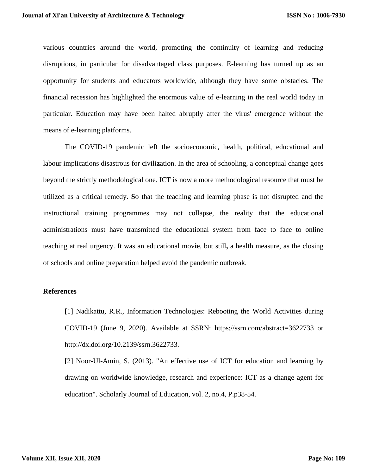various countries around the world, promoting the continuity of learning and reducing disruptions, in particular for disadvantaged class purposes. E-learning has turned up as an opportunity for students and educators worldwide, although they have some obstacles. The financial recession has highlighted the enormous value of e-learning in the real world today in particular. Education may have been halted abruptly after the virus' emergence without the means of e-learning platforms.

The COVID-19 pandemic left the socioeconomic, health, political, educational and labour implications disastrous for civili**z**ation. In the area of schooling, a conceptual change goes beyond the strictly methodological one. ICT is now a more methodological resource that must be utilized as a critical remedy**. S**o that the teaching and learning phase is not disrupted and the instructional training programmes may not collapse, the reality that the educational administrations must have transmitted the educational system from face to face to online teaching at real urgency. It was an educational mov**i**e, but still**,** a health measure, as the closing of schools and online preparation helped avoid the pandemic outbreak.

#### **References**

[1] Nadikattu, R.R., Information Technologies: Rebooting the World Activities during COVID-19 (June 9, 2020). Available at SSRN: https://ssrn.com/abstract=3622733 or http://dx.doi.org/10.2139/ssrn.3622733.

[2] Noor-Ul-Amin, S. (2013). "An effective use of ICT for education and learning by drawing on worldwide knowledge, research and experience: ICT as a change agent for education". Scholarly Journal of Education, vol. 2, no.4, P.p38-54.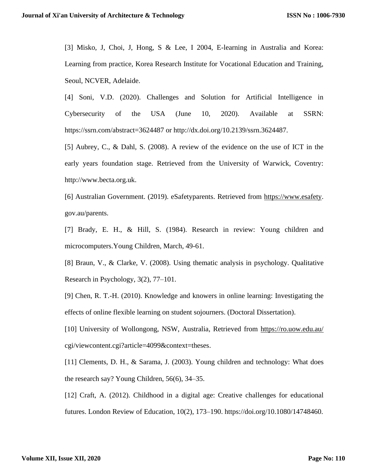[3] Misko, J, Choi, J, Hong, S & Lee, I 2004, E-learning in Australia and Korea: Learning from practice, Korea Research Institute for Vocational Education and Training, Seoul, NCVER, Adelaide.

[4] Soni, V.D. (2020). Challenges and Solution for Artificial Intelligence in Cybersecurity of the USA (June 10, 2020). Available at SSRN: https://ssrn.com/abstract=3624487 or http://dx.doi.org/10.2139/ssrn.3624487.

[5] Aubrey, C., & Dahl, S. (2008). A review of the evidence on the use of ICT in the early years foundation stage. Retrieved from the University of Warwick, Coventry: http://www.becta.org.uk.

[6] Australian Government. (2019). eSafetyparents. Retrieved from [https://www.esafety.](https://www.esafety/) gov.au/parents.

[7] Brady, E. H., & Hill, S. (1984). Research in review: Young children and microcomputers.Young Children, March, 49-61.

[8] Braun, V., & Clarke, V. (2008). Using thematic analysis in psychology. Qualitative Research in Psychology, 3(2), 77–101.

[9] Chen, R. T.-H. (2010). Knowledge and knowers in online learning: Investigating the effects of online flexible learning on student sojourners. (Doctoral Dissertation).

[10] University of Wollongong, NSW, Australia, Retrieved from<https://ro.uow.edu.au/> cgi/viewcontent.cgi?article=4099&context=theses.

[11] Clements, D. H., & Sarama, J. (2003). Young children and technology: What does the research say? Young Children, 56(6), 34–35.

[12] Craft, A. (2012). Childhood in a digital age: Creative challenges for educational futures. London Review of Education, 10(2), 173–190. https://doi.org/10.1080/14748460.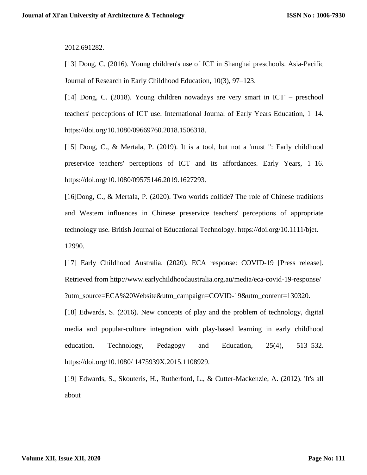2012.691282.

[13] Dong, C. (2016). Young children's use of ICT in Shanghai preschools. Asia-Pacific Journal of Research in Early Childhood Education, 10(3), 97–123.

[14] Dong, C. (2018). Young children nowadays are very smart in ICT' – preschool teachers' perceptions of ICT use. International Journal of Early Years Education, 1–14. https://doi.org/10.1080/09669760.2018.1506318.

[15] Dong, C., & Mertala, P. (2019). It is a tool, but not a 'must ": Early childhood preservice teachers' perceptions of ICT and its affordances. Early Years, 1–16. https://doi.org/10.1080/09575146.2019.1627293.

[16]Dong, C., & Mertala, P. (2020). Two worlds collide? The role of Chinese traditions and Western influences in Chinese preservice teachers' perceptions of appropriate technology use. British Journal of Educational Technology. https://doi.org/10.1111/bjet. 12990.

[17] Early Childhood Australia. (2020). ECA response: COVID-19 [Press release]. Retrieved from http://www.earlychildhoodaustralia.org.au/media/eca-covid-19-response/ ?utm\_source=ECA%20Website&utm\_campaign=COVID-19&utm\_content=130320.

[18] Edwards, S. (2016). New concepts of play and the problem of technology, digital media and popular-culture integration with play-based learning in early childhood education. Technology, Pedagogy and Education, 25(4), 513–532. https://doi.org/10.1080/ 1475939X.2015.1108929.

[19] Edwards, S., Skouteris, H., Rutherford, L., & Cutter-Mackenzie, A. (2012). 'It's all about